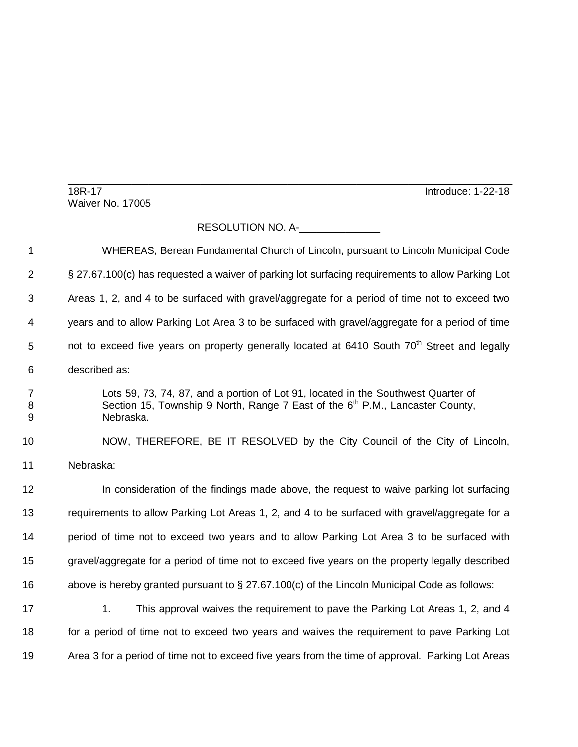18R-17 Introduce: 1-22-18

\_\_\_\_\_\_\_\_\_\_\_\_\_\_\_\_\_\_\_\_\_\_\_\_\_\_\_\_\_\_\_\_\_\_\_\_\_\_\_\_\_\_\_\_\_\_\_\_\_\_\_\_\_\_\_\_\_\_\_\_\_\_\_\_\_\_\_\_\_\_\_\_\_\_\_\_\_ Waiver No. 17005

## RESOLUTION NO. A-\_\_\_\_\_\_\_\_\_\_\_\_\_\_

| 1              | WHEREAS, Berean Fundamental Church of Lincoln, pursuant to Lincoln Municipal Code                                                                                                 |
|----------------|-----------------------------------------------------------------------------------------------------------------------------------------------------------------------------------|
| $\overline{2}$ | § 27.67.100(c) has requested a waiver of parking lot surfacing requirements to allow Parking Lot                                                                                  |
| 3              | Areas 1, 2, and 4 to be surfaced with gravel/aggregate for a period of time not to exceed two                                                                                     |
| 4              | years and to allow Parking Lot Area 3 to be surfaced with gravel/aggregate for a period of time                                                                                   |
| 5              | not to exceed five years on property generally located at 6410 South 70 <sup>th</sup> Street and legally                                                                          |
| 6              | described as:                                                                                                                                                                     |
| 7<br>8<br>9    | Lots 59, 73, 74, 87, and a portion of Lot 91, located in the Southwest Quarter of<br>Section 15, Township 9 North, Range 7 East of the $6th$ P.M., Lancaster County,<br>Nebraska. |
| 10             | NOW, THEREFORE, BE IT RESOLVED by the City Council of the City of Lincoln,                                                                                                        |
| 11             | Nebraska:                                                                                                                                                                         |
| 12             | In consideration of the findings made above, the request to waive parking lot surfacing                                                                                           |
| 13             | requirements to allow Parking Lot Areas 1, 2, and 4 to be surfaced with gravel/aggregate for a                                                                                    |
| 14             | period of time not to exceed two years and to allow Parking Lot Area 3 to be surfaced with                                                                                        |
| 15             | gravel/aggregate for a period of time not to exceed five years on the property legally described                                                                                  |
| 16             | above is hereby granted pursuant to $\S 27.67.100(c)$ of the Lincoln Municipal Code as follows:                                                                                   |
| 17             | 1.<br>This approval waives the requirement to pave the Parking Lot Areas 1, 2, and 4                                                                                              |
| 18             | for a period of time not to exceed two years and waives the requirement to pave Parking Lot                                                                                       |
| 19             | Area 3 for a period of time not to exceed five years from the time of approval. Parking Lot Areas                                                                                 |